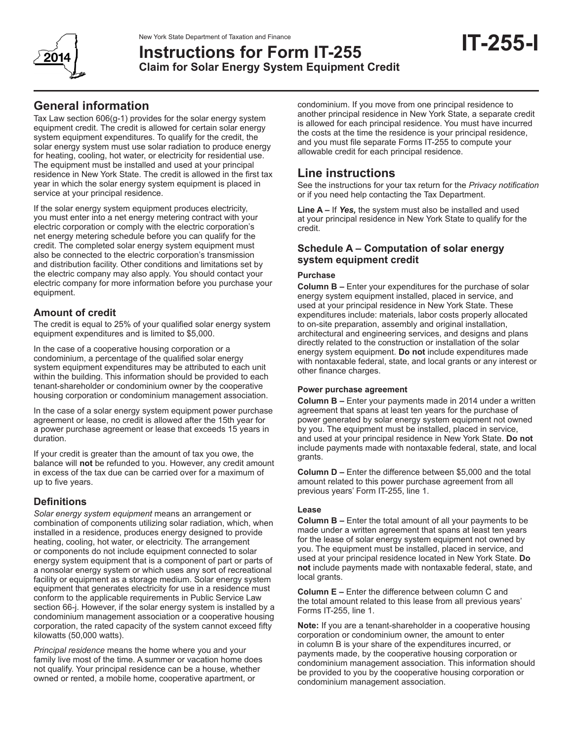

# **Instructions for Form IT-255 Claim for Solar Energy System Equipment Credit**

Tax Law section 606(g-1) provides for the solar energy system equipment credit. The credit is allowed for certain solar energy system equipment expenditures. To qualify for the credit, the solar energy system must use solar radiation to produce energy for heating, cooling, hot water, or electricity for residential use. The equipment must be installed and used at your principal residence in New York State. The credit is allowed in the first tax year in which the solar energy system equipment is placed in service at your principal residence.

If the solar energy system equipment produces electricity, you must enter into a net energy metering contract with your electric corporation or comply with the electric corporation's net energy metering schedule before you can qualify for the credit. The completed solar energy system equipment must also be connected to the electric corporation's transmission and distribution facility. Other conditions and limitations set by the electric company may also apply. You should contact your electric company for more information before you purchase your equipment.

# **Amount of credit**

The credit is equal to 25% of your qualified solar energy system equipment expenditures and is limited to \$5,000.

In the case of a cooperative housing corporation or a condominium, a percentage of the qualified solar energy system equipment expenditures may be attributed to each unit within the building. This information should be provided to each tenant-shareholder or condominium owner by the cooperative housing corporation or condominium management association.

In the case of a solar energy system equipment power purchase agreement or lease, no credit is allowed after the 15th year for a power purchase agreement or lease that exceeds 15 years in duration.

If your credit is greater than the amount of tax you owe, the balance will **not** be refunded to you. However, any credit amount in excess of the tax due can be carried over for a maximum of up to five years.

# **Definitions**

*Solar energy system equipment* means an arrangement or combination of components utilizing solar radiation, which, when installed in a residence, produces energy designed to provide heating, cooling, hot water, or electricity. The arrangement or components do not include equipment connected to solar energy system equipment that is a component of part or parts of a nonsolar energy system or which uses any sort of recreational facility or equipment as a storage medium. Solar energy system equipment that generates electricity for use in a residence must conform to the applicable requirements in Public Service Law section 66-j. However, if the solar energy system is installed by a condominium management association or a cooperative housing corporation, the rated capacity of the system cannot exceed fifty kilowatts (50,000 watts).

*Principal residence* means the home where you and your family live most of the time. A summer or vacation home does not qualify. Your principal residence can be a house, whether owned or rented, a mobile home, cooperative apartment, or

condominium. If you move from one principal residence to another principal residence in New York State, a separate credit is allowed for each principal residence. You must have incurred the costs at the time the residence is your principal residence, and you must file separate Forms IT‑255 to compute your allowable credit for each principal residence.

**IT-255-I**

# **Line instructions**

See the instructions for your tax return for the *Privacy notification* or if you need help contacting the Tax Department.

**Line A –** If *Yes,* the system must also be installed and used at your principal residence in New York State to qualify for the credit.

## **Schedule A – Computation of solar energy system equipment credit**

### **Purchase**

**Column B –** Enter your expenditures for the purchase of solar energy system equipment installed, placed in service, and used at your principal residence in New York State. These expenditures include: materials, labor costs properly allocated to on-site preparation, assembly and original installation, architectural and engineering services, and designs and plans directly related to the construction or installation of the solar energy system equipment. **Do not** include expenditures made with nontaxable federal, state, and local grants or any interest or other finance charges.

#### **Power purchase agreement**

**Column B –** Enter your payments made in 2014 under a written agreement that spans at least ten years for the purchase of power generated by solar energy system equipment not owned by you. The equipment must be installed, placed in service, and used at your principal residence in New York State. **Do not** include payments made with nontaxable federal, state, and local grants.

**Column D –** Enter the difference between \$5,000 and the total amount related to this power purchase agreement from all previous years' Form IT-255, line 1.

### **Lease**

**Column B –** Enter the total amount of all your payments to be made under a written agreement that spans at least ten years for the lease of solar energy system equipment not owned by you. The equipment must be installed, placed in service, and used at your principal residence located in New York State. **Do not** include payments made with nontaxable federal, state, and local grants.

**Column E –** Enter the difference between column C and the total amount related to this lease from all previous years' Forms IT-255, line 1.

**Note:** If you are a tenant-shareholder in a cooperative housing corporation or condominium owner, the amount to enter in column B is your share of the expenditures incurred, or payments made, by the cooperative housing corporation or condominium management association. This information should be provided to you by the cooperative housing corporation or condominium management association.